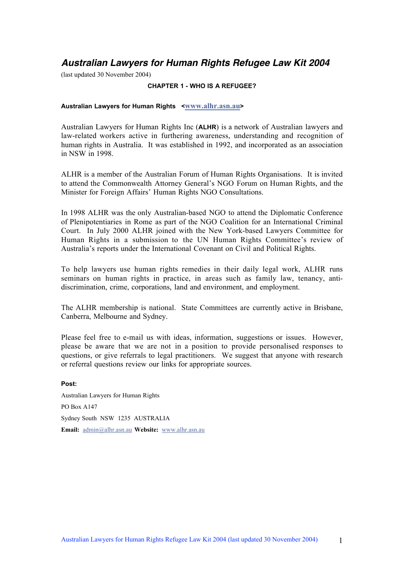## **Australian Lawyers for Human Rights Refugee Law Kit 2004**

(last updated 30 November 2004)

#### **CHAPTER 1 - WHO IS A REFUGEE?**

#### **Australian Lawyers for Human Rights <**www.alhr.asn.au**>**

Australian Lawyers for Human Rights Inc (**ALHR**) is a network of Australian lawyers and law-related workers active in furthering awareness, understanding and recognition of human rights in Australia. It was established in 1992, and incorporated as an association in NSW in 1998.

ALHR is a member of the Australian Forum of Human Rights Organisations. It is invited to attend the Commonwealth Attorney General's NGO Forum on Human Rights, and the Minister for Foreign Affairs' Human Rights NGO Consultations.

In 1998 ALHR was the only Australian-based NGO to attend the Diplomatic Conference of Plenipotentiaries in Rome as part of the NGO Coalition for an International Criminal Court. In July 2000 ALHR joined with the New York-based Lawyers Committee for Human Rights in a submission to the UN Human Rights Committee's review of Australia's reports under the International Covenant on Civil and Political Rights.

To help lawyers use human rights remedies in their daily legal work, ALHR runs seminars on human rights in practice, in areas such as family law, tenancy, antidiscrimination, crime, corporations, land and environment, and employment.

The ALHR membership is national. State Committees are currently active in Brisbane, Canberra, Melbourne and Sydney.

Please feel free to e-mail us with ideas, information, suggestions or issues. However, please be aware that we are not in a position to provide personalised responses to questions, or give referrals to legal practitioners. We suggest that anyone with research or referral questions review our links for appropriate sources.

**Post:** Australian Lawyers for Human Rights PO Box A147 Sydney South NSW 1235 AUSTRALIA Email: admin@alhr.asn.au Website: www.alhr.asn.au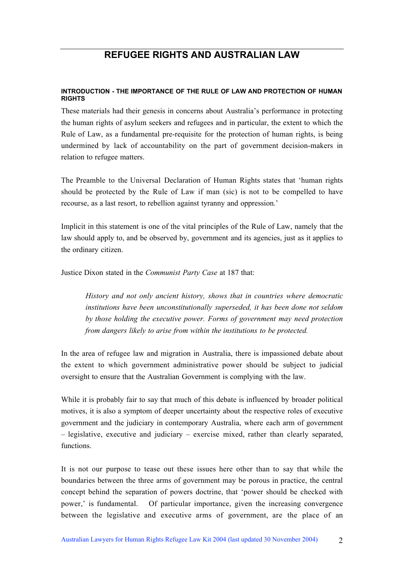# **REFUGEE RIGHTS AND AUSTRALIAN LAW**

#### **INTRODUCTION - THE IMPORTANCE OF THE RULE OF LAW AND PROTECTION OF HUMAN RIGHTS**

These materials had their genesis in concerns about Australia's performance in protecting the human rights of asylum seekers and refugees and in particular, the extent to which the Rule of Law, as a fundamental pre-requisite for the protection of human rights, is being undermined by lack of accountability on the part of government decision-makers in relation to refugee matters.

The Preamble to the Universal Declaration of Human Rights states that 'human rights should be protected by the Rule of Law if man (sic) is not to be compelled to have recourse, as a last resort, to rebellion against tyranny and oppression.'

Implicit in this statement is one of the vital principles of the Rule of Law, namely that the law should apply to, and be observed by, government and its agencies, just as it applies to the ordinary citizen.

Justice Dixon stated in the *Communist Party Case* at 187 that:

*History and not only ancient history, shows that in countries where democratic institutions have been unconstitutionally superseded, it has been done not seldom by those holding the executive power. Forms of government may need protection from dangers likely to arise from within the institutions to be protected.*

In the area of refugee law and migration in Australia, there is impassioned debate about the extent to which government administrative power should be subject to judicial oversight to ensure that the Australian Government is complying with the law.

While it is probably fair to say that much of this debate is influenced by broader political motives, it is also a symptom of deeper uncertainty about the respective roles of executive government and the judiciary in contemporary Australia, where each arm of government – legislative, executive and judiciary – exercise mixed, rather than clearly separated, functions.

It is not our purpose to tease out these issues here other than to say that while the boundaries between the three arms of government may be porous in practice, the central concept behind the separation of powers doctrine, that 'power should be checked with power,' is fundamental. Of particular importance, given the increasing convergence between the legislative and executive arms of government, are the place of an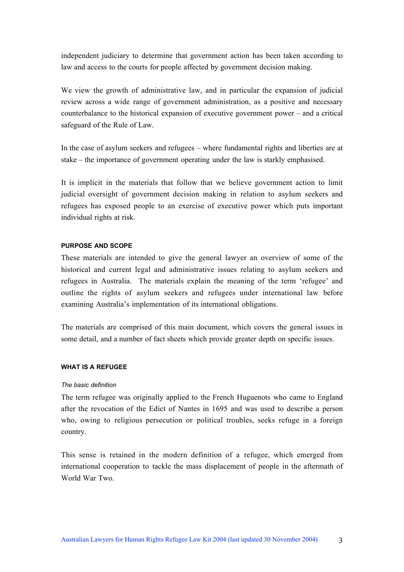independent judiciary to determine that government action has been taken according to law and access to the courts for people affected by government decision making.

We view the growth of administrative law, and in particular the expansion of judicial review across a wide range of government administration, as a positive and necessary counterbalance to the historical expansion of executive government power – and a critical safeguard of the Rule of Law.

In the case of asylum seekers and refugees – where fundamental rights and liberties are at stake – the importance of government operating under the law is starkly emphasised.

It is implicit in the materials that follow that we believe government action to limit judicial oversight of government decision making in relation to asylum seekers and refugees has exposed people to an exercise of executive power which puts important individual rights at risk.

#### **PURPOSE AND SCOPE**

These materials are intended to give the general lawyer an overview of some of the historical and current legal and administrative issues relating to asylum seekers and refugees in Australia. The materials explain the meaning of the term 'refugee' and outline the rights of asylum seekers and refugees under international law before examining Australia's implementation of its international obligations.

The materials are comprised of this main document, which covers the general issues in some detail, and a number of fact sheets which provide greater depth on specific issues.

#### **WHAT IS A REFUGEE**

#### *The basic definition*

The term refugee was originally applied to the French Huguenots who came to England after the revocation of the Edict of Nantes in 1695 and was used to describe a person who, owing to religious persecution or political troubles, seeks refuge in a foreign country.

This sense is retained in the modern definition of a refugee, which emerged from international cooperation to tackle the mass displacement of people in the aftermath of World War Two.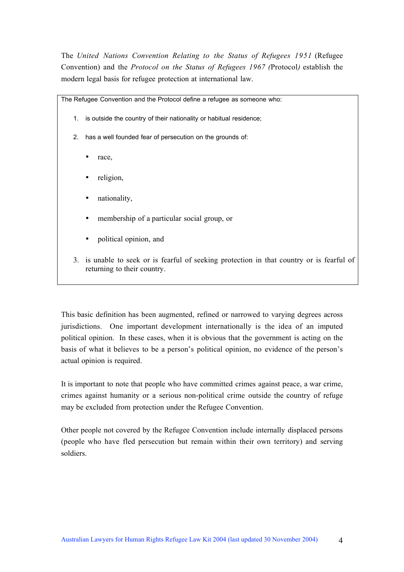The *United Nations Convention Relating to the Status of Refugees 1951* (Refugee Convention) and the *Protocol on the Status of Refugees 1967 (*Protocol*)* establish the modern legal basis for refugee protection at international law.

The Refugee Convention and the Protocol define a refugee as someone who:

- 1. is outside the country of their nationality or habitual residence;
- 2. has a well founded fear of persecution on the grounds of:
	- race,
	- religion,
	- nationality,
	- membership of a particular social group, or
	- political opinion, and
- 3. is unable to seek or is fearful of seeking protection in that country or is fearful of returning to their country.

This basic definition has been augmented, refined or narrowed to varying degrees across jurisdictions. One important development internationally is the idea of an imputed political opinion. In these cases, when it is obvious that the government is acting on the basis of what it believes to be a person's political opinion, no evidence of the person's actual opinion is required.

It is important to note that people who have committed crimes against peace, a war crime, crimes against humanity or a serious non-political crime outside the country of refuge may be excluded from protection under the Refugee Convention.

Other people not covered by the Refugee Convention include internally displaced persons (people who have fled persecution but remain within their own territory) and serving soldiers.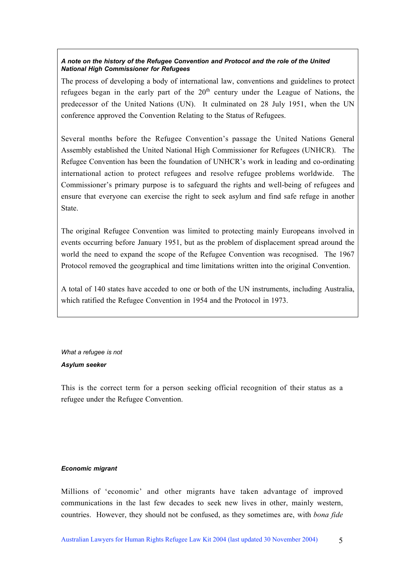### *A note on the history of the Refugee Convention and Protocol and the role of the United National High Commissioner for Refugees*

The process of developing a body of international law, conventions and guidelines to protect refugees began in the early part of the  $20<sup>th</sup>$  century under the League of Nations, the predecessor of the United Nations (UN). It culminated on 28 July 1951, when the UN conference approved the Convention Relating to the Status of Refugees.

Several months before the Refugee Convention's passage the United Nations General Assembly established the United National High Commissioner for Refugees (UNHCR). The Refugee Convention has been the foundation of UNHCR's work in leading and co-ordinating international action to protect refugees and resolve refugee problems worldwide. The Commissioner's primary purpose is to safeguard the rights and well-being of refugees and ensure that everyone can exercise the right to seek asylum and find safe refuge in another State.

The original Refugee Convention was limited to protecting mainly Europeans involved in events occurring before January 1951, but as the problem of displacement spread around the world the need to expand the scope of the Refugee Convention was recognised. The 1967 Protocol removed the geographical and time limitations written into the original Convention.

A total of 140 states have acceded to one or both of the UN instruments, including Australia, which ratified the Refugee Convention in 1954 and the Protocol in 1973.

*What a refugee is not Asylum seeker*

This is the correct term for a person seeking official recognition of their status as a refugee under the Refugee Convention.

#### *Economic migrant*

Millions of 'economic' and other migrants have taken advantage of improved communications in the last few decades to seek new lives in other, mainly western, countries. However, they should not be confused, as they sometimes are, with *bona fide*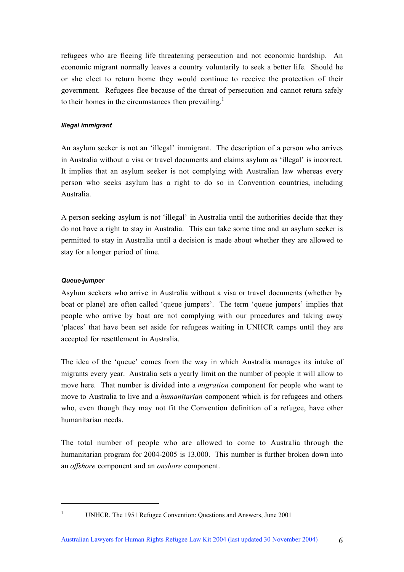refugees who are fleeing life threatening persecution and not economic hardship. An economic migrant normally leaves a country voluntarily to seek a better life. Should he or she elect to return home they would continue to receive the protection of their government. Refugees flee because of the threat of persecution and cannot return safely to their homes in the circumstances then prevailing.<sup>1</sup>

## *Illegal immigrant*

An asylum seeker is not an 'illegal' immigrant. The description of a person who arrives in Australia without a visa or travel documents and claims asylum as 'illegal' is incorrect. It implies that an asylum seeker is not complying with Australian law whereas every person who seeks asylum has a right to do so in Convention countries, including Australia.

A person seeking asylum is not 'illegal' in Australia until the authorities decide that they do not have a right to stay in Australia. This can take some time and an asylum seeker is permitted to stay in Australia until a decision is made about whether they are allowed to stay for a longer period of time.

## *Queue-jumper*

Asylum seekers who arrive in Australia without a visa or travel documents (whether by boat or plane) are often called 'queue jumpers'. The term 'queue jumpers' implies that people who arrive by boat are not complying with our procedures and taking away 'places' that have been set aside for refugees waiting in UNHCR camps until they are accepted for resettlement in Australia.

The idea of the 'queue' comes from the way in which Australia manages its intake of migrants every year. Australia sets a yearly limit on the number of people it will allow to move here. That number is divided into a *migration* component for people who want to move to Australia to live and a *humanitarian* component which is for refugees and others who, even though they may not fit the Convention definition of a refugee, have other humanitarian needs.

The total number of people who are allowed to come to Australia through the humanitarian program for 2004-2005 is 13,000. This number is further broken down into an *offshore* component and an *onshore* component.

 $\overline{a}$ 

<sup>&</sup>lt;sup>1</sup> UNHCR, The 1951 Refugee Convention: Questions and Answers, June 2001